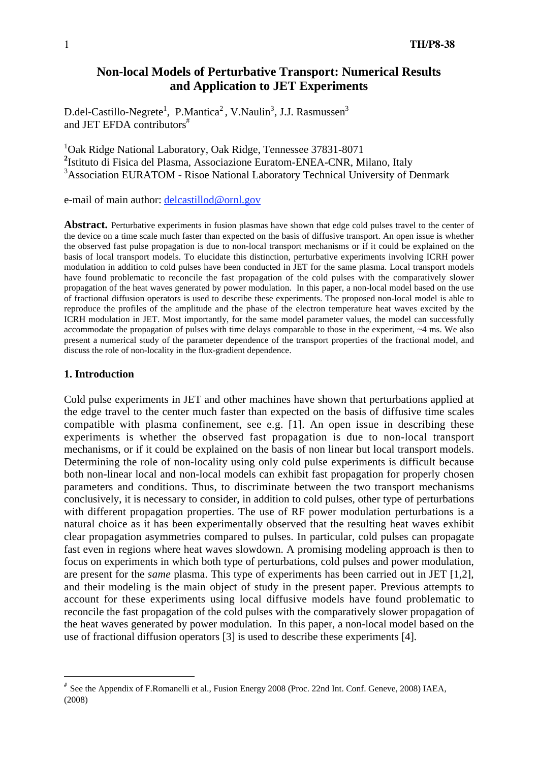# **Non-local Models of Perturbative Transport: Numerical Results and Application to JET Experiments**

D.del-Castillo-Negrete<sup>1</sup>, P.Mantica<sup>2</sup>, V.Naulin<sup>3</sup>, J.J. Rasmussen<sup>3</sup> and JET EFDA contributors<sup>#</sup>

1 Oak Ridge National Laboratory, Oak Ridge, Tennessee 37831-8071 **2** Istituto di Fisica del Plasma, Associazione Euratom-ENEA-CNR, Milano, Italy <sup>3</sup> Association EURATOM - Risoe National Laboratory Technical University of Denmark

e-mail of main author: delcastillod@ornl.gov

**Abstract.** Perturbative experiments in fusion plasmas have shown that edge cold pulses travel to the center of the device on a time scale much faster than expected on the basis of diffusive transport. An open issue is whether the observed fast pulse propagation is due to non-local transport mechanisms or if it could be explained on the basis of local transport models. To elucidate this distinction, perturbative experiments involving ICRH power modulation in addition to cold pulses have been conducted in JET for the same plasma. Local transport models have found problematic to reconcile the fast propagation of the cold pulses with the comparatively slower propagation of the heat waves generated by power modulation. In this paper, a non-local model based on the use of fractional diffusion operators is used to describe these experiments. The proposed non-local model is able to reproduce the profiles of the amplitude and the phase of the electron temperature heat waves excited by the ICRH modulation in JET. Most importantly, for the same model parameter values, the model can successfully accommodate the propagation of pulses with time delays comparable to those in the experiment, ~4 ms. We also present a numerical study of the parameter dependence of the transport properties of the fractional model, and discuss the role of non-locality in the flux-gradient dependence.

## **1. Introduction**

Cold pulse experiments in JET and other machines have shown that perturbations applied at the edge travel to the center much faster than expected on the basis of diffusive time scales compatible with plasma confinement, see e.g. [1]. An open issue in describing these experiments is whether the observed fast propagation is due to non-local transport mechanisms, or if it could be explained on the basis of non linear but local transport models. Determining the role of non-locality using only cold pulse experiments is difficult because both non-linear local and non-local models can exhibit fast propagation for properly chosen parameters and conditions. Thus, to discriminate between the two transport mechanisms conclusively, it is necessary to consider, in addition to cold pulses, other type of perturbations with different propagation properties. The use of RF power modulation perturbations is a natural choice as it has been experimentally observed that the resulting heat waves exhibit clear propagation asymmetries compared to pulses. In particular, cold pulses can propagate fast even in regions where heat waves slowdown. A promising modeling approach is then to focus on experiments in which both type of perturbations, cold pulses and power modulation, are present for the *same* plasma. This type of experiments has been carried out in JET [1,2], and their modeling is the main object of study in the present paper. Previous attempts to account for these experiments using local diffusive models have found problematic to reconcile the fast propagation of the cold pulses with the comparatively slower propagation of the heat waves generated by power modulation. In this paper, a non-local model based on the use of fractional diffusion operators [3] is used to describe these experiments [4].

 <sup>#</sup> See the Appendix of F.Romanelli et al., Fusion Energy 2008 (Proc. 22nd Int. Conf. Geneve, 2008) IAEA, (2008)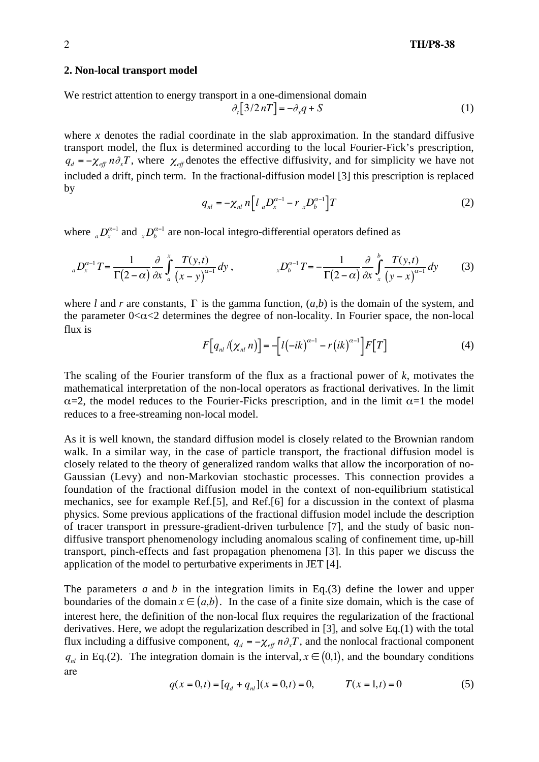#### **2. Non-local transport model**

We restrict attention to energy transport in a one-dimensional domain

$$
\partial_t [3/2nT] = -\partial_x q + S \tag{1}
$$

where *x* denotes the radial coordinate in the slab approximation. In the standard diffusive transport model, the flux is determined according to the local Fourier-Fick's prescription,  $q_d = -\chi_{\text{eff}} n \partial_x T$ , where  $\chi_{\text{eff}}$  denotes the effective diffusivity, and for simplicity we have not included a drift, pinch term. In the fractional-diffusion model [3] this prescription is replaced by

$$
q_{nl} = -\chi_{nl} n \Big[ l \, {}_{a}D_{x}^{\alpha-1} - r \, {}_{x}D_{b}^{\alpha-1} \Big] T \tag{2}
$$

where  $_{a}D_{x}^{\alpha-1}$  and  $_{x}D_{b}^{\alpha-1}$  are non-local integro-differential operators defined as

$$
{}_{a}D_{x}^{\alpha-1}T = \frac{1}{\Gamma(2-\alpha)}\frac{\partial}{\partial x}\int_{a}^{x}\frac{T(y,t)}{(x-y)^{\alpha-1}}dy, \qquad \qquad {}_{x}D_{b}^{\alpha-1}T = -\frac{1}{\Gamma(2-\alpha)}\frac{\partial}{\partial x}\int_{x}^{b}\frac{T(y,t)}{(y-x)^{\alpha-1}}dy \qquad (3)
$$

where *l* and *r* are constants,  $\Gamma$  is the gamma function,  $(a,b)$  is the domain of the system, and the parameter  $0 < \alpha < 2$  determines the degree of non-locality. In Fourier space, the non-local flux is

$$
F\big[q_{nl}/(\chi_{nl} n)\big] = -\big[l(-ik)^{\alpha-1} - r(ik)^{\alpha-1}\big]F[T] \tag{4}
$$

The scaling of the Fourier transform of the flux as a fractional power of *k*, motivates the mathematical interpretation of the non-local operators as fractional derivatives. In the limit  $\alpha$ =2, the model reduces to the Fourier-Ficks prescription, and in the limit  $\alpha$ =1 the model reduces to a free-streaming non-local model.

As it is well known, the standard diffusion model is closely related to the Brownian random walk. In a similar way, in the case of particle transport, the fractional diffusion model is closely related to the theory of generalized random walks that allow the incorporation of no-Gaussian (Levy) and non-Markovian stochastic processes. This connection provides a foundation of the fractional diffusion model in the context of non-equilibrium statistical mechanics, see for example Ref.[5], and Ref.[6] for a discussion in the context of plasma physics. Some previous applications of the fractional diffusion model include the description of tracer transport in pressure-gradient-driven turbulence [7], and the study of basic nondiffusive transport phenomenology including anomalous scaling of confinement time, up-hill transport, pinch-effects and fast propagation phenomena [3]. In this paper we discuss the application of the model to perturbative experiments in JET [4].

The parameters *a* and *b* in the integration limits in Eq.(3) define the lower and upper boundaries of the domain  $x \in (a,b)$ . In the case of a finite size domain, which is the case of interest here, the definition of the non-local flux requires the regularization of the fractional derivatives. Here, we adopt the regularization described in [3], and solve Eq.(1) with the total flux including a diffusive component,  $q_d = -\chi_{\text{eff}} n \partial_x T$ , and the nonlocal fractional component  $q_{nl}$  in Eq.(2). The integration domain is the interval,  $x \in (0,1)$ , and the boundary conditions are

$$
q(x = 0, t) = [q_d + q_{nl}](x = 0, t) = 0, \qquad T(x = 1, t) = 0
$$
\n(5)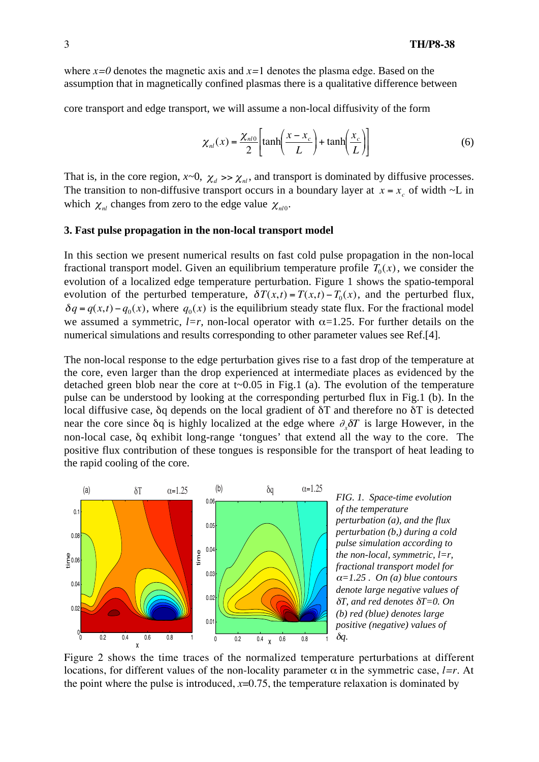where  $x=0$  denotes the magnetic axis and  $x=1$  denotes the plasma edge. Based on the assumption that in magnetically confined plasmas there is a qualitative difference between

core transport and edge transport, we will assume a non-local diffusivity of the form

$$
\chi_{nl}(x) = \frac{\chi_{nl0}}{2} \left[ \tanh\left(\frac{x - x_c}{L}\right) + \tanh\left(\frac{x_c}{L}\right) \right] \tag{6}
$$

That is, in the core region,  $x \sim 0$ ,  $\chi_d \gg \chi_{nl}$ , and transport is dominated by diffusive processes. The transition to non-diffusive transport occurs in a boundary layer at  $x = x_c$  of width  $\sim L$  in which  $\chi_{nl}$  changes from zero to the edge value  $\chi_{nl0}$ .

#### **3. Fast pulse propagation in the non-local transport model**

In this section we present numerical results on fast cold pulse propagation in the non-local fractional transport model. Given an equilibrium temperature profile  $T_0(x)$ , we consider the evolution of a localized edge temperature perturbation. Figure 1 shows the spatio-temporal evolution of the perturbed temperature,  $\delta T(x,t) = T(x,t) - T_0(x)$ , and the perturbed flux,  $\delta q = q(x,t) - q_0(x)$ , where  $q_0(x)$  is the equilibrium steady state flux. For the fractional model we assumed a symmetric,  $l=r$ , non-local operator with  $\alpha=1.25$ . For further details on the numerical simulations and results corresponding to other parameter values see Ref.[4].

The non-local response to the edge perturbation gives rise to a fast drop of the temperature at the core, even larger than the drop experienced at intermediate places as evidenced by the detached green blob near the core at  $t \sim 0.05$  in Fig.1 (a). The evolution of the temperature pulse can be understood by looking at the corresponding perturbed flux in Fig.1 (b). In the local diffusive case,  $\delta q$  depends on the local gradient of  $\delta T$  and therefore no  $\delta T$  is detected near the core since  $\delta q$  is highly localized at the edge where  $\partial_x \delta T$  is large However, in the non-local case,  $\delta q$  exhibit long-range 'tongues' that extend all the way to the core. The positive flux contribution of these tongues is responsible for the transport of heat leading to the rapid cooling of the core.



*FIG. 1. Space-time evolution of the temperature perturbation (a), and the flux perturbation (b,) during a cold pulse simulation according to the non-local, symmetric, l=r, fractional transport model for*  $\alpha=1.25$ . On (a) blue contours *denote large negative values of*  $\delta T$ , and red denotes  $\delta T = 0$ . On *(b) red (blue) denotes large positive (negative) values of* δ*q*.

Figure 2 shows the time traces of the normalized temperature perturbations at different locations, for different values of the non-locality parameter  $\alpha$  in the symmetric case, *l*=r. At the point where the pulse is introduced, *x*=0.75, the temperature relaxation is dominated by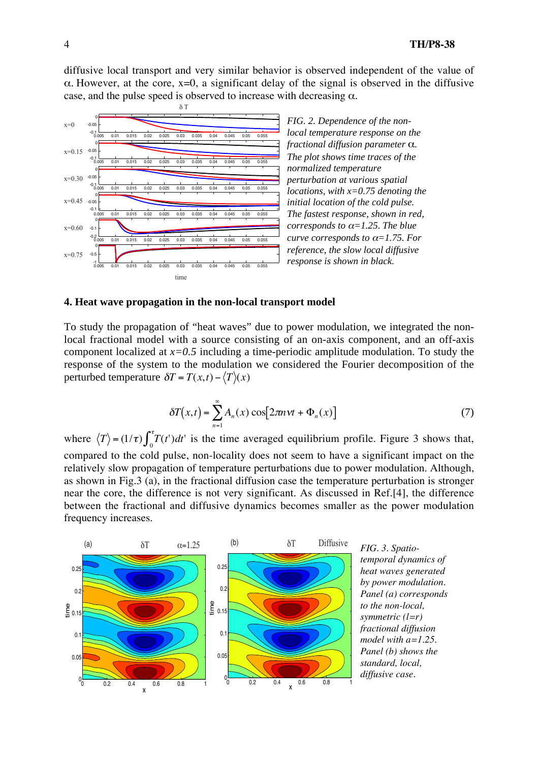diffusive local transport and very similar behavior is observed independent of the value of  $\alpha$ . However, at the core, x=0, a significant delay of the signal is observed in the diffusive case, and the pulse speed is observed to increase with decreasing  $\alpha$ .



## **4. Heat wave propagation in the non-local transport model**

To study the propagation of "heat waves" due to power modulation, we integrated the nonlocal fractional model with a source consisting of an on-axis component, and an off-axis component localized at *x=0.5* including a time-periodic amplitude modulation. To study the response of the system to the modulation we considered the Fourier decomposition of the perturbed temperature  $\delta T = T(x,t) - \langle T \rangle(x)$ 

$$
\delta T(x,t) = \sum_{n=1}^{\infty} A_n(x) \cos[2\pi n \nu t + \Phi_n(x)] \tag{7}
$$

where  $\langle T \rangle = (1/\tau) \int_0^{\tau} T(t') dt'$  is the time averaged equilibrium profile. Figure 3 shows that, compared to the cold pulse, non-locality does not seem to have a significant impact on the relatively slow propagation of temperature perturbations due to power modulation. Although, as shown in Fig.3 (a), in the fractional diffusion case the temperature perturbation is stronger near the core, the difference is not very significant. As discussed in Ref.[4], the difference between the fractional and diffusive dynamics becomes smaller as the power modulation frequency increases.



*temporal dynamics of heat waves generated by power modulation. Panel (a) corresponds to the non-local, symmetric (l=r) fractional diffusion model with a=1.25. Panel (b) shows the standard, local, diffusive case.*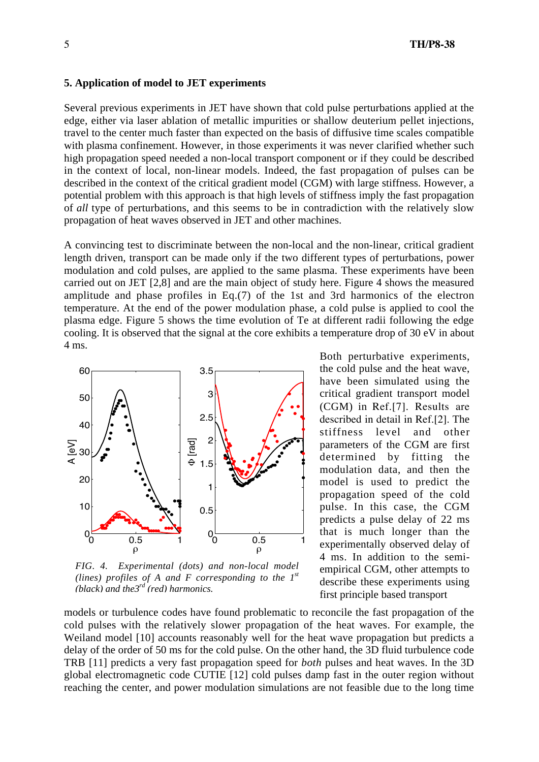### **5. Application of model to JET experiments**

Several previous experiments in JET have shown that cold pulse perturbations applied at the edge, either via laser ablation of metallic impurities or shallow deuterium pellet injections, travel to the center much faster than expected on the basis of diffusive time scales compatible with plasma confinement. However, in those experiments it was never clarified whether such high propagation speed needed a non-local transport component or if they could be described in the context of local, non-linear models. Indeed, the fast propagation of pulses can be described in the context of the critical gradient model (CGM) with large stiffness. However, a potential problem with this approach is that high levels of stiffness imply the fast propagation of *all* type of perturbations, and this seems to be in contradiction with the relatively slow propagation of heat waves observed in JET and other machines.

A convincing test to discriminate between the non-local and the non-linear, critical gradient length driven, transport can be made only if the two different types of perturbations, power modulation and cold pulses, are applied to the same plasma. These experiments have been carried out on JET [2,8] and are the main object of study here. Figure 4 shows the measured amplitude and phase profiles in Eq.(7) of the 1st and 3rd harmonics of the electron temperature. At the end of the power modulation phase, a cold pulse is applied to cool the plasma edge. Figure 5 shows the time evolution of Te at different radii following the edge cooling. It is observed that the signal at the core exhibits a temperature drop of 30 eV in about 4 ms.



*FIG. 4. Experimental (dots) and non-local model (lines) profiles of A and F corresponding to the 1st (black) and the3rd (red) harmonics.*

Both perturbative experiments, the cold pulse and the heat wave, have been simulated using the critical gradient transport model (CGM) in Ref.[7]. Results are described in detail in Ref.[2]. The stiffness level and other parameters of the CGM are first determined by fitting the modulation data, and then the model is used to predict the propagation speed of the cold pulse. In this case, the CGM predicts a pulse delay of 22 ms that is much longer than the experimentally observed delay of 4 ms. In addition to the semiempirical CGM, other attempts to describe these experiments using first principle based transport

models or turbulence codes have found problematic to reconcile the fast propagation of the cold pulses with the relatively slower propagation of the heat waves. For example, the Weiland model [10] accounts reasonably well for the heat wave propagation but predicts a delay of the order of 50 ms for the cold pulse. On the other hand, the 3D fluid turbulence code TRB [11] predicts a very fast propagation speed for *both* pulses and heat waves. In the 3D global electromagnetic code CUTIE [12] cold pulses damp fast in the outer region without reaching the center, and power modulation simulations are not feasible due to the long time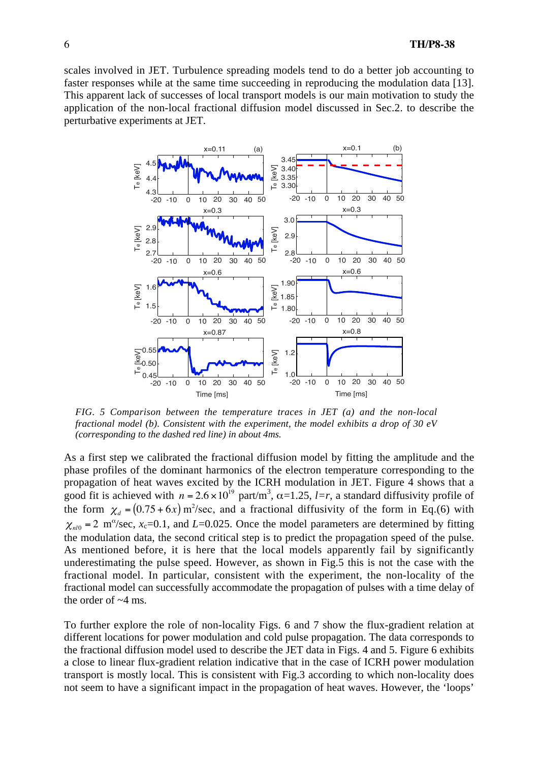scales involved in JET. Turbulence spreading models tend to do a better job accounting to faster responses while at the same time succeeding in reproducing the modulation data [13]. This apparent lack of successes of local transport models is our main motivation to study the application of the non-local fractional diffusion model discussed in Sec.2. to describe the perturbative experiments at JET.



*FIG. 5 Comparison between the temperature traces in JET (a) and the non-local fractional model (b). Consistent with the experiment, the model exhibits a drop of 30 eV (corresponding to the dashed red line) in about 4ms.*

As a first step we calibrated the fractional diffusion model by fitting the amplitude and the phase profiles of the dominant harmonics of the electron temperature corresponding to the propagation of heat waves excited by the ICRH modulation in JET. Figure 4 shows that a good fit is achieved with  $n = 2.6 \times 10^{19}$  part/m<sup>3</sup>,  $\alpha = 1.25$ ,  $l=r$ , a standard diffusivity profile of the form  $\chi_d = (0.75 + 6x) \text{ m}^2/\text{sec}$ , and a fractional diffusivity of the form in Eq.(6) with  $\chi_{nl0}$  = 2 m<sup>o</sup>/sec, *x*<sub>c</sub>=0.1, and *L*=0.025. Once the model parameters are determined by fitting the modulation data, the second critical step is to predict the propagation speed of the pulse. As mentioned before, it is here that the local models apparently fail by significantly underestimating the pulse speed. However, as shown in Fig.5 this is not the case with the fractional model. In particular, consistent with the experiment, the non-locality of the fractional model can successfully accommodate the propagation of pulses with a time delay of the order of  $~4$  ms.

To further explore the role of non-locality Figs. 6 and 7 show the flux-gradient relation at different locations for power modulation and cold pulse propagation. The data corresponds to the fractional diffusion model used to describe the JET data in Figs. 4 and 5. Figure 6 exhibits a close to linear flux-gradient relation indicative that in the case of ICRH power modulation transport is mostly local. This is consistent with Fig.3 according to which non-locality does not seem to have a significant impact in the propagation of heat waves. However, the 'loops'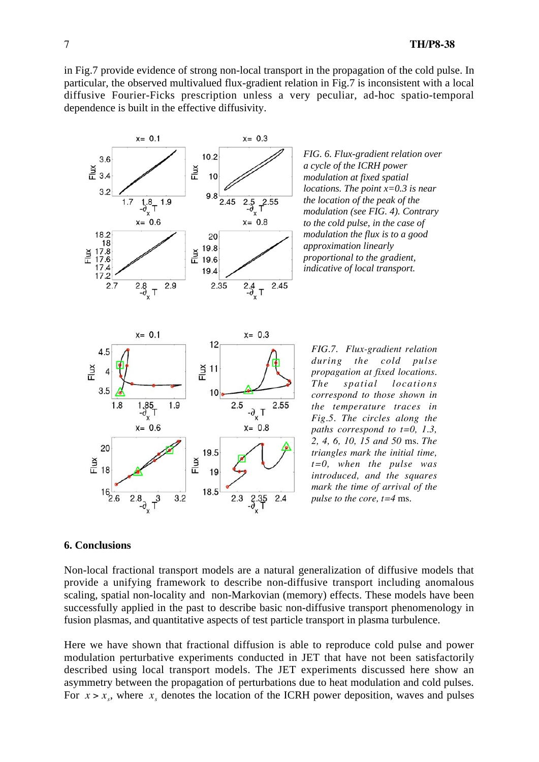in Fig.7 provide evidence of strong non-local transport in the propagation of the cold pulse. In particular, the observed multivalued flux-gradient relation in Fig.7 is inconsistent with a local diffusive Fourier-Ficks prescription unless a very peculiar, ad-hoc spatio-temporal dependence is built in the effective diffusivity.



*FIG. 6. Flux-gradient relation over a cycle of the ICRH power modulation at fixed spatial locations. The point x=0.3 is near the location of the peak of the modulation (see FIG. 4). Contrary to the cold pulse, in the case of modulation the flux is to a good approximation linearly proportional to the gradient, indicative of local transport.*

*FIG.7. Flux-gradient relation during the cold pulse propagation at fixed locations. The spatial locations correspond to those shown in the temperature traces in Fig.5. The circles along the paths correspond to t=0, 1.3, 2, 4, 6, 10, 15 and 50* ms. *The triangles mark the initial time, t=0, when the pulse was introduced, and the squares mark the time of arrival of the pulse to the core, t=4* ms.

## **6. Conclusions**

Non-local fractional transport models are a natural generalization of diffusive models that provide a unifying framework to describe non-diffusive transport including anomalous scaling, spatial non-locality and non-Markovian (memory) effects. These models have been successfully applied in the past to describe basic non-diffusive transport phenomenology in fusion plasmas, and quantitative aspects of test particle transport in plasma turbulence.

Here we have shown that fractional diffusion is able to reproduce cold pulse and power modulation perturbative experiments conducted in JET that have not been satisfactorily described using local transport models. The JET experiments discussed here show an asymmetry between the propagation of perturbations due to heat modulation and cold pulses. For  $x > x_s$ , where  $x_s$  denotes the location of the ICRH power deposition, waves and pulses